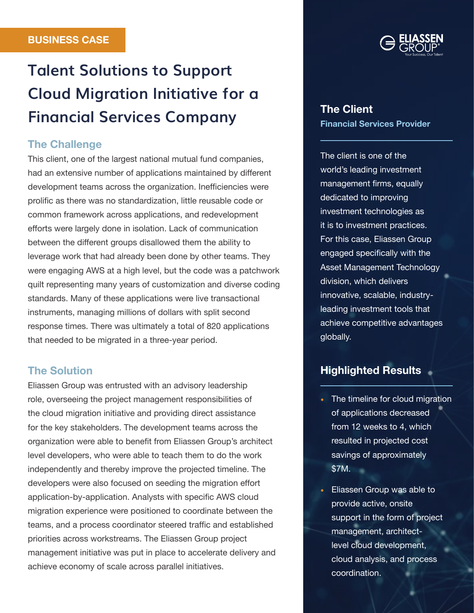# **Talent Solutions to Support Cloud Migration Initiative for a Financial Services Company**

## The Challenge

This client, one of the largest national mutual fund companies, had an extensive number of applications maintained by different development teams across the organization. Inefficiencies were prolific as there was no standardization, little reusable code or common framework across applications, and redevelopment efforts were largely done in isolation. Lack of communication between the different groups disallowed them the ability to leverage work that had already been done by other teams. They were engaging AWS at a high level, but the code was a patchwork quilt representing many years of customization and diverse coding standards. Many of these applications were live transactional instruments, managing millions of dollars with split second response times. There was ultimately a total of 820 applications that needed to be migrated in a three-year period.

### The Solution

Eliassen Group was entrusted with an advisory leadership role, overseeing the project management responsibilities of the cloud migration initiative and providing direct assistance for the key stakeholders. The development teams across the organization were able to benefit from Eliassen Group's architect level developers, who were able to teach them to do the work independently and thereby improve the projected timeline. The developers were also focused on seeding the migration effort application-by-application. Analysts with specific AWS cloud migration experience were positioned to coordinate between the teams, and a process coordinator steered traffic and established priorities across workstreams. The Eliassen Group project management initiative was put in place to accelerate delivery and achieve economy of scale across parallel initiatives.



## The Client Financial Services Provider

The client is one of the world's leading investment management firms, equally dedicated to improving investment technologies as it is to investment practices. For this case, Eliassen Group engaged specifically with the Asset Management Technology division, which delivers innovative, scalable, industryleading investment tools that achieve competitive advantages globally.

# Highlighted Results

- The timeline for cloud migration of applications decreased from 12 weeks to 4, which resulted in projected cost savings of approximately \$7M.
- Eliassen Group was able to provide active, onsite support in the form of project management, architectlevel cloud development, cloud analysis, and process coordination.